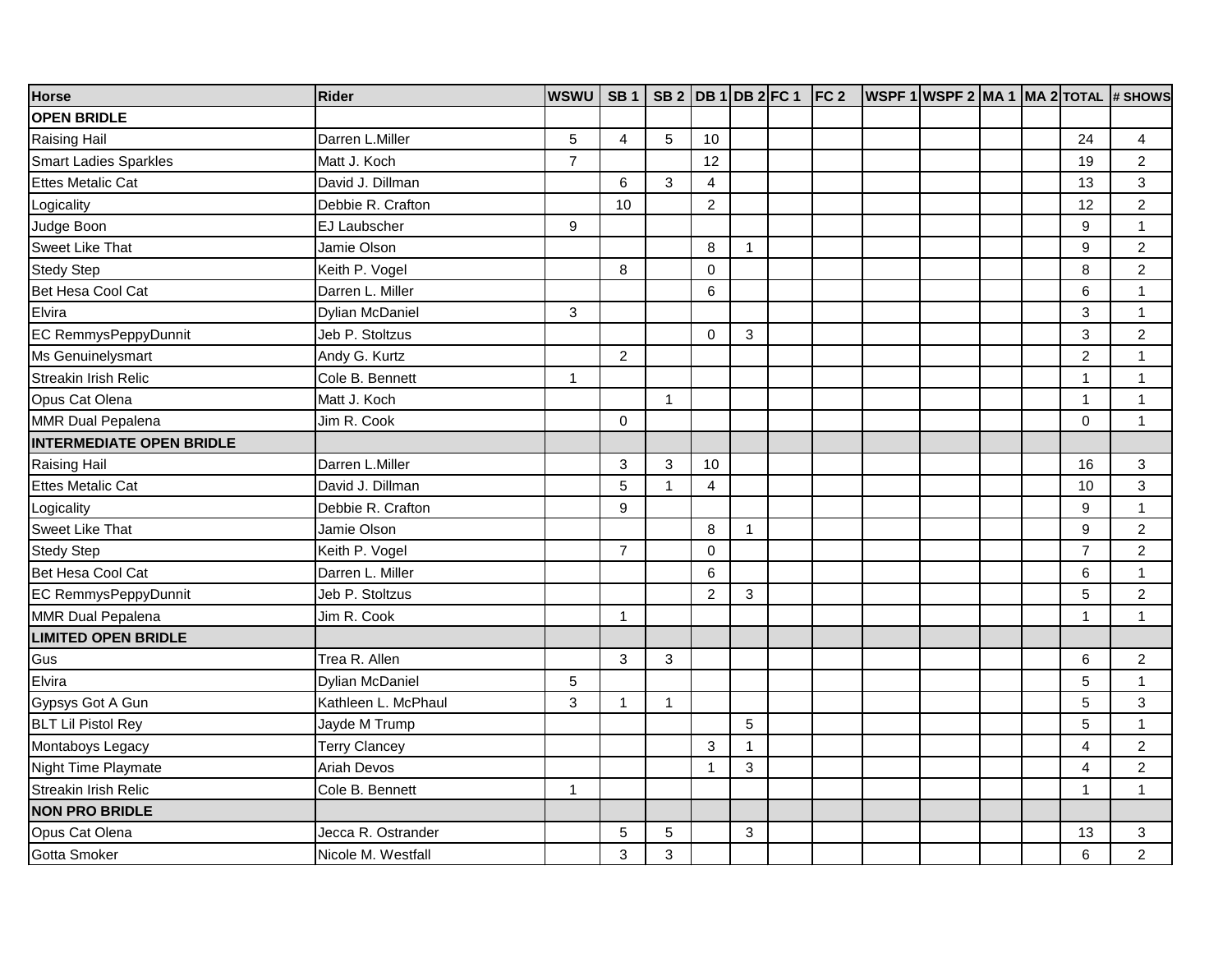| <b>Horse</b>                    | <b>Rider</b>           | <b>WSWU</b> | <b>SB1</b>     | SB 2 DB 1 DB 2 FC 1 |                 |              | FC <sub>2</sub> |  |  |                | WSPF 1 WSPF 2 MA 1 MA 2 TOTAL # SHOWS |
|---------------------------------|------------------------|-------------|----------------|---------------------|-----------------|--------------|-----------------|--|--|----------------|---------------------------------------|
| <b>OPEN BRIDLE</b>              |                        |             |                |                     |                 |              |                 |  |  |                |                                       |
| <b>Raising Hail</b>             | Darren L.Miller        | 5           | 4              | 5                   | 10              |              |                 |  |  | 24             | 4                                     |
| <b>Smart Ladies Sparkles</b>    | Matt J. Koch           | 7           |                |                     | 12              |              |                 |  |  | 19             | $\overline{c}$                        |
| <b>Ettes Metalic Cat</b>        | David J. Dillman       |             | 6              | 3                   | $\overline{4}$  |              |                 |  |  | 13             | 3                                     |
| Logicality                      | Debbie R. Crafton      |             | 10             |                     | $\overline{c}$  |              |                 |  |  | 12             | $\overline{2}$                        |
| Judge Boon                      | EJ Laubscher           | 9           |                |                     |                 |              |                 |  |  | 9              | $\mathbf{1}$                          |
| <b>Sweet Like That</b>          | Jamie Olson            |             |                |                     | 8               | $\mathbf{1}$ |                 |  |  | 9              | $\overline{c}$                        |
| <b>Stedy Step</b>               | Keith P. Vogel         |             | 8              |                     | $\mathbf 0$     |              |                 |  |  | 8              | $\overline{2}$                        |
| Bet Hesa Cool Cat               | Darren L. Miller       |             |                |                     | $6\phantom{1}6$ |              |                 |  |  | $6\phantom{a}$ | $\mathbf{1}$                          |
| Elvira                          | <b>Dylian McDaniel</b> | 3           |                |                     |                 |              |                 |  |  | 3              | $\mathbf{1}$                          |
| EC RemmysPeppyDunnit            | Jeb P. Stoltzus        |             |                |                     | $\Omega$        | $\mathbf{3}$ |                 |  |  | 3              | $\overline{c}$                        |
| Ms Genuinelysmart               | Andy G. Kurtz          |             | 2              |                     |                 |              |                 |  |  | $\overline{2}$ | $\mathbf{1}$                          |
| <b>Streakin Irish Relic</b>     | Cole B. Bennett        | 1           |                |                     |                 |              |                 |  |  | $\mathbf{1}$   | $\mathbf{1}$                          |
| Opus Cat Olena                  | Matt J. Koch           |             |                | $\mathbf{1}$        |                 |              |                 |  |  | $\mathbf{1}$   | $\mathbf{1}$                          |
| MMR Dual Pepalena               | Jim R. Cook            |             | $\Omega$       |                     |                 |              |                 |  |  | $\Omega$       | 1                                     |
| <b>INTERMEDIATE OPEN BRIDLE</b> |                        |             |                |                     |                 |              |                 |  |  |                |                                       |
| Raising Hail                    | Darren L.Miller        |             | 3              | 3                   | 10              |              |                 |  |  | 16             | $\ensuremath{\mathsf{3}}$             |
| Ettes Metalic Cat               | David J. Dillman       |             | 5              | 1                   | $\overline{4}$  |              |                 |  |  | 10             | 3                                     |
| Logicality                      | Debbie R. Crafton      |             | 9              |                     |                 |              |                 |  |  | 9              | $\mathbf{1}$                          |
| <b>Sweet Like That</b>          | Jamie Olson            |             |                |                     | 8               | $\mathbf{1}$ |                 |  |  | 9              | $\boldsymbol{2}$                      |
| <b>Stedy Step</b>               | Keith P. Vogel         |             | $\overline{7}$ |                     | $\mathbf 0$     |              |                 |  |  | $\overline{7}$ | $\overline{2}$                        |
| Bet Hesa Cool Cat               | Darren L. Miller       |             |                |                     | 6               |              |                 |  |  | 6              | $\mathbf{1}$                          |
| EC RemmysPeppyDunnit            | Jeb P. Stoltzus        |             |                |                     | $\overline{c}$  | 3            |                 |  |  | 5              | $\overline{c}$                        |
| MMR Dual Pepalena               | Jim R. Cook            |             | $\mathbf{1}$   |                     |                 |              |                 |  |  | $\mathbf{1}$   | $\mathbf{1}$                          |
| <b>LIMITED OPEN BRIDLE</b>      |                        |             |                |                     |                 |              |                 |  |  |                |                                       |
| Gus                             | Trea R. Allen          |             | $\mathbf{3}$   | 3                   |                 |              |                 |  |  | 6              | $\boldsymbol{2}$                      |
| Elvira                          | <b>Dylian McDaniel</b> | 5           |                |                     |                 |              |                 |  |  | 5              | $\mathbf{1}$                          |
| Gypsys Got A Gun                | Kathleen L. McPhaul    | 3           | $\mathbf{1}$   | $\mathbf{1}$        |                 |              |                 |  |  | 5              | 3                                     |
| <b>BLT Lil Pistol Rey</b>       | Jayde M Trump          |             |                |                     |                 | 5            |                 |  |  | 5              | $\mathbf{1}$                          |
| Montaboys Legacy                | <b>Terry Clancey</b>   |             |                |                     | 3               | $\mathbf{1}$ |                 |  |  | $\overline{4}$ | $\overline{c}$                        |
| Night Time Playmate             | <b>Ariah Devos</b>     |             |                |                     | $\overline{1}$  | 3            |                 |  |  | $\overline{4}$ | $\overline{c}$                        |
| <b>Streakin Irish Relic</b>     | Cole B. Bennett        | 1           |                |                     |                 |              |                 |  |  | $\mathbf{1}$   | $\mathbf{1}$                          |
| <b>NON PRO BRIDLE</b>           |                        |             |                |                     |                 |              |                 |  |  |                |                                       |
| Opus Cat Olena                  | Jecca R. Ostrander     |             | 5              | 5                   |                 | 3            |                 |  |  | 13             | 3                                     |
| Gotta Smoker                    | Nicole M. Westfall     |             | 3              | 3                   |                 |              |                 |  |  | 6              | $\overline{c}$                        |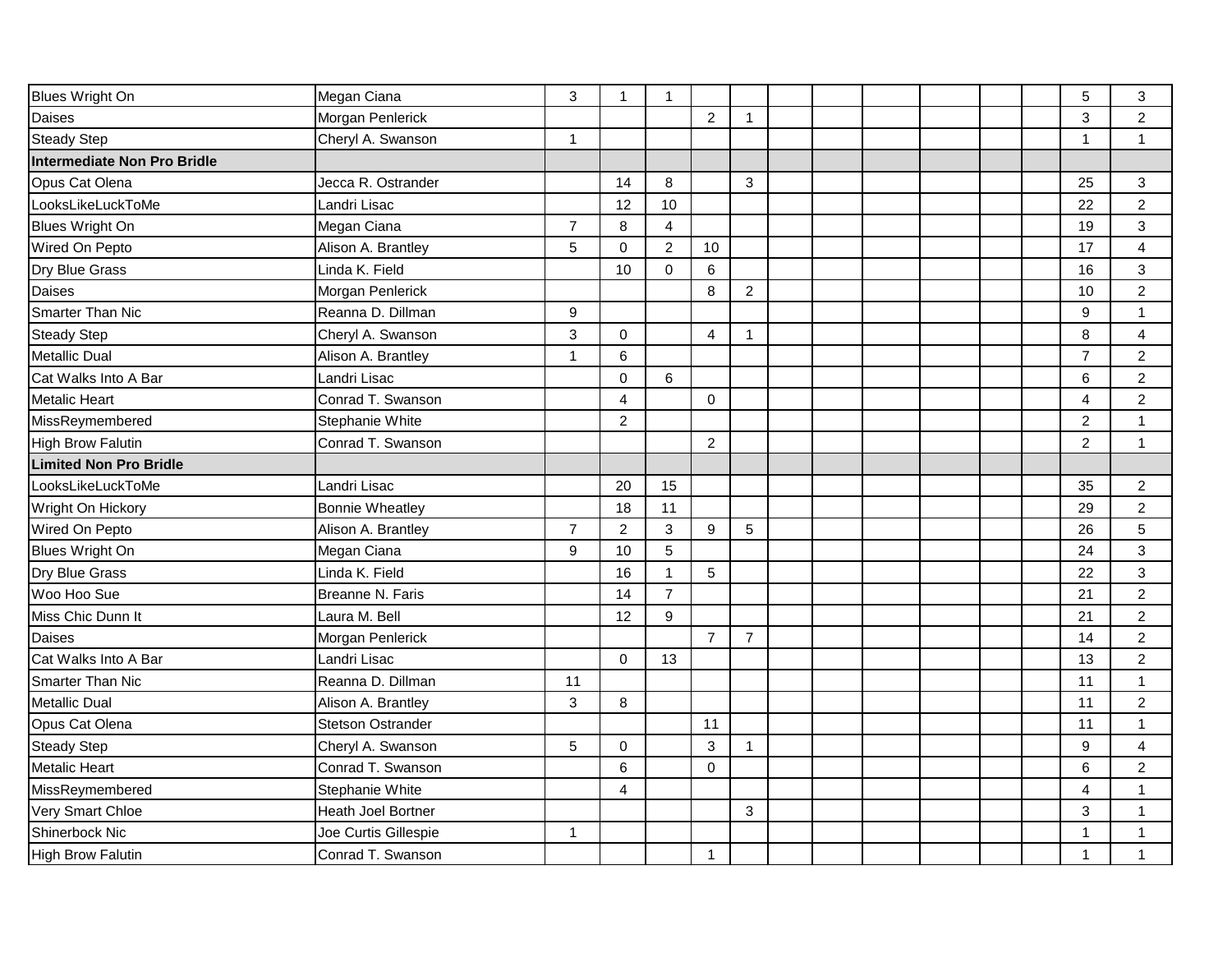| Blues Wright On               | Megan Ciana               | 3                | $\mathbf{1}$   | $\mathbf{1}$     |                |                |  |  |  | $\sqrt{5}$       | $\mathbf{3}$     |
|-------------------------------|---------------------------|------------------|----------------|------------------|----------------|----------------|--|--|--|------------------|------------------|
| Daises                        | Morgan Penlerick          |                  |                |                  | $\overline{2}$ | $\mathbf{1}$   |  |  |  | 3                | $\overline{c}$   |
| <b>Steady Step</b>            | Cheryl A. Swanson         | 1                |                |                  |                |                |  |  |  | $\mathbf{1}$     | $\mathbf{1}$     |
| Intermediate Non Pro Bridle   |                           |                  |                |                  |                |                |  |  |  |                  |                  |
| Opus Cat Olena                | Jecca R. Ostrander        |                  | 14             | 8                |                | 3              |  |  |  | 25               | $\mathbf{3}$     |
| LooksLikeLuckToMe             | Landri Lisac              |                  | 12             | 10               |                |                |  |  |  | 22               | $\boldsymbol{2}$ |
| Blues Wright On               | Megan Ciana               | $\overline{7}$   | 8              | $\overline{4}$   |                |                |  |  |  | 19               | $\mathsf 3$      |
| Wired On Pepto                | Alison A. Brantley        | 5                | $\mathbf 0$    | $\overline{2}$   | 10             |                |  |  |  | 17               | $\overline{4}$   |
| Dry Blue Grass                | Linda K. Field            |                  | 10             | $\mathbf 0$      | $6\phantom{1}$ |                |  |  |  | 16               | $\mathfrak{S}$   |
| Daises                        | Morgan Penlerick          |                  |                |                  | 8              | $\overline{c}$ |  |  |  | 10               | $\overline{c}$   |
| <b>Smarter Than Nic</b>       | Reanna D. Dillman         | $\boldsymbol{9}$ |                |                  |                |                |  |  |  | $\boldsymbol{9}$ | $\mathbf{1}$     |
| <b>Steady Step</b>            | Cheryl A. Swanson         | 3                | $\mathbf 0$    |                  | $\overline{4}$ | $\mathbf{1}$   |  |  |  | 8                | $\overline{4}$   |
| Metallic Dual                 | Alison A. Brantley        | 1                | 6              |                  |                |                |  |  |  | $\overline{7}$   | $\boldsymbol{2}$ |
| Cat Walks Into A Bar          | Landri Lisac              |                  | $\mathbf 0$    | 6                |                |                |  |  |  | $6\phantom{1}$   | $\overline{c}$   |
| Metalic Heart                 | Conrad T. Swanson         |                  | $\overline{4}$ |                  | $\mathbf 0$    |                |  |  |  | $\overline{4}$   | $\overline{c}$   |
| MissReymembered               | Stephanie White           |                  | $\overline{2}$ |                  |                |                |  |  |  | $\overline{2}$   | $\mathbf{1}$     |
| High Brow Falutin             | Conrad T. Swanson         |                  |                |                  | $\overline{c}$ |                |  |  |  | $\overline{2}$   | $\mathbf{1}$     |
| <b>Limited Non Pro Bridle</b> |                           |                  |                |                  |                |                |  |  |  |                  |                  |
| LooksLikeLuckToMe             | Landri Lisac              |                  | 20             | 15               |                |                |  |  |  | 35               | $\overline{c}$   |
| Wright On Hickory             | <b>Bonnie Wheatley</b>    |                  | 18             | 11               |                |                |  |  |  | 29               | $\boldsymbol{2}$ |
| Wired On Pepto                | Alison A. Brantley        | $\overline{7}$   | $\overline{2}$ | $\mathbf{3}$     | $\overline{9}$ | $\overline{5}$ |  |  |  | 26               | 5                |
| Blues Wright On               | Megan Ciana               | 9                | 10             | 5                |                |                |  |  |  | 24               | $\mathbf{3}$     |
| Dry Blue Grass                | Linda K. Field            |                  | 16             | 1                | $\overline{5}$ |                |  |  |  | 22               | $\mathfrak{S}$   |
| Woo Hoo Sue                   | Breanne N. Faris          |                  | 14             | $\overline{7}$   |                |                |  |  |  | 21               | $\overline{c}$   |
| Miss Chic Dunn It             | Laura M. Bell             |                  | 12             | $\boldsymbol{9}$ |                |                |  |  |  | 21               | $\boldsymbol{2}$ |
| Daises                        | Morgan Penlerick          |                  |                |                  | $\overline{7}$ | $\overline{7}$ |  |  |  | 14               | $\boldsymbol{2}$ |
| Cat Walks Into A Bar          | Landri Lisac              |                  | 0              | 13               |                |                |  |  |  | 13               | $\mathbf 2$      |
| <b>Smarter Than Nic</b>       | Reanna D. Dillman         | 11               |                |                  |                |                |  |  |  | 11               | $\mathbf{1}$     |
| Metallic Dual                 | Alison A. Brantley        | 3                | 8              |                  |                |                |  |  |  | 11               | $\overline{c}$   |
| Opus Cat Olena                | <b>Stetson Ostrander</b>  |                  |                |                  | 11             |                |  |  |  | 11               | $\mathbf{1}$     |
| <b>Steady Step</b>            | Cheryl A. Swanson         | 5                | $\mathbf 0$    |                  | $\sqrt{3}$     | $\mathbf{1}$   |  |  |  | 9                | $\overline{4}$   |
| Metalic Heart                 | Conrad T. Swanson         |                  | 6              |                  | $\mathbf 0$    |                |  |  |  | 6                | $\overline{c}$   |
| MissReymembered               | Stephanie White           |                  | 4              |                  |                |                |  |  |  | 4                | $\mathbf{1}$     |
| Very Smart Chloe              | <b>Heath Joel Bortner</b> |                  |                |                  |                | 3              |  |  |  | 3                | $\mathbf{1}$     |
| Shinerbock Nic                | Joe Curtis Gillespie      | 1                |                |                  |                |                |  |  |  | 1                | 1                |
| High Brow Falutin             | Conrad T. Swanson         |                  |                |                  | $\mathbf{1}$   |                |  |  |  | 1                | 1                |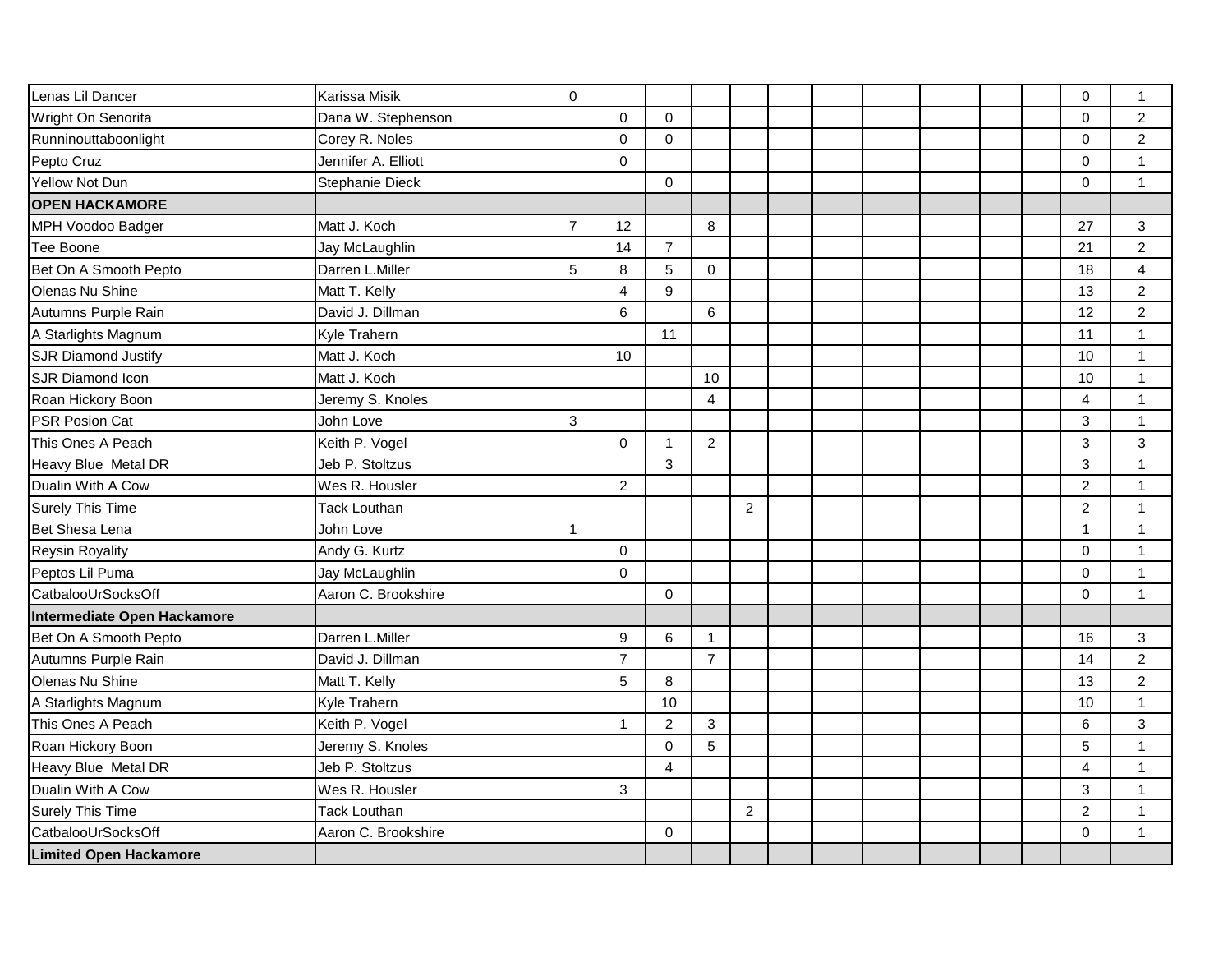| Lenas Lil Dancer              | <b>Karissa Misik</b> | $\mathbf 0$    |                |                |                |                |  |  |  | 0                | $\mathbf{1}$            |
|-------------------------------|----------------------|----------------|----------------|----------------|----------------|----------------|--|--|--|------------------|-------------------------|
| Wright On Senorita            | Dana W. Stephenson   |                | $\Omega$       | $\Omega$       |                |                |  |  |  | $\Omega$         | $\overline{c}$          |
| Runninouttaboonlight          | Corey R. Noles       |                | $\mathbf 0$    | $\mathbf 0$    |                |                |  |  |  | $\Omega$         | $\overline{2}$          |
| Pepto Cruz                    | Jennifer A. Elliott  |                | $\Omega$       |                |                |                |  |  |  | 0                | $\mathbf{1}$            |
| Yellow Not Dun                | Stephanie Dieck      |                |                | $\mathbf 0$    |                |                |  |  |  | 0                | $\mathbf{1}$            |
| <b>OPEN HACKAMORE</b>         |                      |                |                |                |                |                |  |  |  |                  |                         |
| MPH Voodoo Badger             | Matt J. Koch         | $\overline{7}$ | 12             |                | 8              |                |  |  |  | 27               | 3                       |
| Tee Boone                     | Jay McLaughlin       |                | 14             | $\overline{7}$ |                |                |  |  |  | 21               | $\overline{c}$          |
| Bet On A Smooth Pepto         | Darren L.Miller      | 5              | 8              | 5              | $\Omega$       |                |  |  |  | 18               | $\overline{\mathbf{4}}$ |
| Olenas Nu Shine               | Matt T. Kelly        |                | $\overline{4}$ | 9              |                |                |  |  |  | 13               | $\overline{2}$          |
| Autumns Purple Rain           | David J. Dillman     |                | 6              |                | 6              |                |  |  |  | 12               | $\overline{2}$          |
| A Starlights Magnum           | Kyle Trahern         |                |                | 11             |                |                |  |  |  | 11               | 1                       |
| <b>SJR Diamond Justify</b>    | Matt J. Koch         |                | 10             |                |                |                |  |  |  | 10               | $\mathbf{1}$            |
| <b>SJR Diamond Icon</b>       | Matt J. Koch         |                |                |                | 10             |                |  |  |  | 10               | $\mathbf{1}$            |
| Roan Hickory Boon             | Jeremy S. Knoles     |                |                |                | 4              |                |  |  |  | 4                | $\mathbf{1}$            |
| <b>PSR Posion Cat</b>         | John Love            | 3              |                |                |                |                |  |  |  | 3                | $\mathbf{1}$            |
| This Ones A Peach             | Keith P. Vogel       |                | $\Omega$       | -1             | $\overline{2}$ |                |  |  |  | 3                | 3                       |
| Heavy Blue Metal DR           | Jeb P. Stoltzus      |                |                | 3              |                |                |  |  |  | 3                | 1                       |
| Dualin With A Cow             | Wes R. Housler       |                | $\overline{2}$ |                |                |                |  |  |  | $\overline{c}$   | $\mathbf{1}$            |
| <b>Surely This Time</b>       | <b>Tack Louthan</b>  |                |                |                |                | $\overline{2}$ |  |  |  | $\boldsymbol{2}$ | $\mathbf{1}$            |
| Bet Shesa Lena                | John Love            | $\mathbf{1}$   |                |                |                |                |  |  |  | $\mathbf{1}$     | $\mathbf{1}$            |
| <b>Reysin Royality</b>        | Andy G. Kurtz        |                | $\Omega$       |                |                |                |  |  |  | $\Omega$         | $\mathbf{1}$            |
| Peptos Lil Puma               | Jay McLaughlin       |                | $\Omega$       |                |                |                |  |  |  | $\Omega$         | $\mathbf{1}$            |
| CatbalooUrSocksOff            | Aaron C. Brookshire  |                |                | $\mathbf 0$    |                |                |  |  |  | $\mathbf 0$      | $\mathbf{1}$            |
| Intermediate Open Hackamore   |                      |                |                |                |                |                |  |  |  |                  |                         |
| Bet On A Smooth Pepto         | Darren L.Miller      |                | 9              | 6              | $\mathbf{1}$   |                |  |  |  | 16               | 3                       |
| Autumns Purple Rain           | David J. Dillman     |                | $\overline{7}$ |                | $\overline{7}$ |                |  |  |  | 14               | $\overline{c}$          |
| Olenas Nu Shine               | Matt T. Kelly        |                | 5              | 8              |                |                |  |  |  | 13               | $\overline{c}$          |
| A Starlights Magnum           | Kyle Trahern         |                |                | 10             |                |                |  |  |  | 10               | 1                       |
| This Ones A Peach             | Keith P. Vogel       |                | $\mathbf{1}$   | $\overline{2}$ | $\mathbf{3}$   |                |  |  |  | 6                | 3                       |
| Roan Hickory Boon             | Jeremy S. Knoles     |                |                | $\mathbf 0$    | 5              |                |  |  |  | 5                | 1                       |
| Heavy Blue Metal DR           | Jeb P. Stoltzus      |                |                | $\overline{4}$ |                |                |  |  |  | $\overline{4}$   | $\mathbf{1}$            |
| Dualin With A Cow             | Wes R. Housler       |                | 3              |                |                |                |  |  |  | 3                | $\mathbf{1}$            |
| <b>Surely This Time</b>       | <b>Tack Louthan</b>  |                |                |                |                | $\overline{2}$ |  |  |  | $\overline{2}$   | 1                       |
| CatbalooUrSocksOff            | Aaron C. Brookshire  |                |                | 0              |                |                |  |  |  | $\mathbf 0$      | 1                       |
| <b>Limited Open Hackamore</b> |                      |                |                |                |                |                |  |  |  |                  |                         |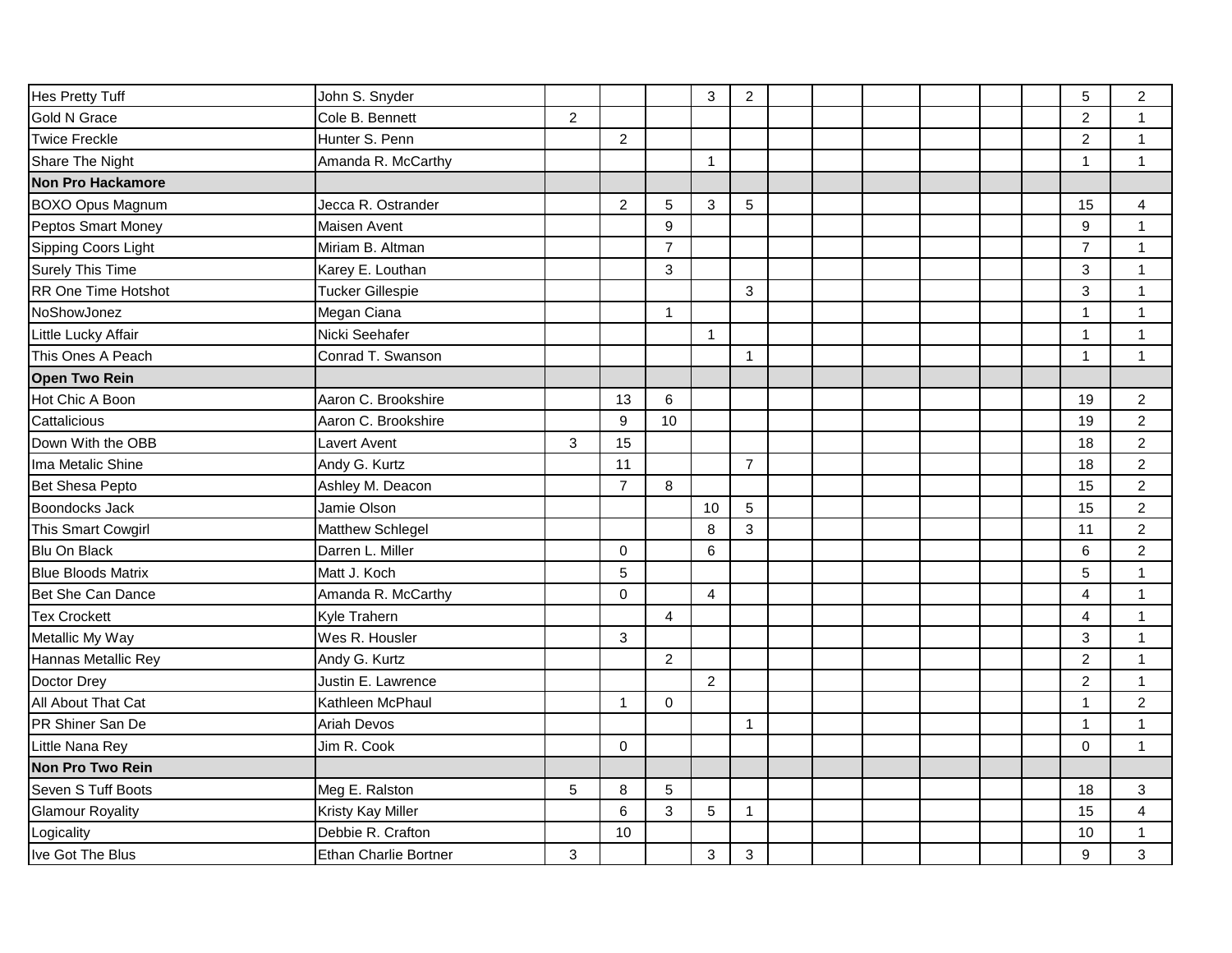| Hes Pretty Tuff            | John S. Snyder               |                |                |                | 3               | $\overline{2}$ |  |  |  | 5              | $\overline{c}$   |
|----------------------------|------------------------------|----------------|----------------|----------------|-----------------|----------------|--|--|--|----------------|------------------|
| <b>Gold N Grace</b>        | Cole B. Bennett              | $\overline{2}$ |                |                |                 |                |  |  |  | $\overline{2}$ | 1                |
| <b>Twice Freckle</b>       | Hunter S. Penn               |                | $\overline{2}$ |                |                 |                |  |  |  | $\overline{2}$ | $\mathbf{1}$     |
| Share The Night            | Amanda R. McCarthy           |                |                |                | $\mathbf{1}$    |                |  |  |  | $\mathbf{1}$   | $\mathbf{1}$     |
| Non Pro Hackamore          |                              |                |                |                |                 |                |  |  |  |                |                  |
| <b>BOXO Opus Magnum</b>    | Jecca R. Ostrander           |                | $\overline{2}$ | 5              | 3               | 5              |  |  |  | 15             | $\overline{4}$   |
| Peptos Smart Money         | Maisen Avent                 |                |                | 9              |                 |                |  |  |  | 9              | $\mathbf{1}$     |
| Sipping Coors Light        | Miriam B. Altman             |                |                | $\overline{7}$ |                 |                |  |  |  | $\overline{7}$ | $\mathbf{1}$     |
| Surely This Time           | Karey E. Louthan             |                |                | 3              |                 |                |  |  |  | 3              | $\mathbf{1}$     |
| <b>RR One Time Hotshot</b> | <b>Tucker Gillespie</b>      |                |                |                |                 | 3              |  |  |  | 3              | 1                |
| NoShowJonez                | Megan Ciana                  |                |                | $\mathbf{1}$   |                 |                |  |  |  | $\mathbf{1}$   | 1                |
| Little Lucky Affair        | Nicki Seehafer               |                |                |                | $\mathbf{1}$    |                |  |  |  | $\mathbf 1$    | 1                |
| This Ones A Peach          | Conrad T. Swanson            |                |                |                |                 | $\mathbf{1}$   |  |  |  | $\mathbf 1$    | $\mathbf{1}$     |
| <b>Open Two Rein</b>       |                              |                |                |                |                 |                |  |  |  |                |                  |
| Hot Chic A Boon            | Aaron C. Brookshire          |                | 13             | 6              |                 |                |  |  |  | 19             | $\overline{2}$   |
| Cattalicious               | Aaron C. Brookshire          |                | 9              | 10             |                 |                |  |  |  | 19             | $\overline{c}$   |
| Down With the OBB          | Lavert Avent                 | $\mathfrak{S}$ | 15             |                |                 |                |  |  |  | 18             | $\overline{a}$   |
| Ima Metalic Shine          | Andy G. Kurtz                |                | 11             |                |                 | $\overline{7}$ |  |  |  | 18             | $\overline{a}$   |
| Bet Shesa Pepto            | Ashley M. Deacon             |                | $\overline{7}$ | 8              |                 |                |  |  |  | 15             | $\boldsymbol{2}$ |
| Boondocks Jack             | Jamie Olson                  |                |                |                | 10              | 5              |  |  |  | 15             | $\overline{2}$   |
| This Smart Cowgirl         | Matthew Schlegel             |                |                |                | 8               | 3              |  |  |  | 11             | $\sqrt{2}$       |
| Blu On Black               | Darren L. Miller             |                | $\mathbf 0$    |                | $6\phantom{1}6$ |                |  |  |  | 6              | $\overline{2}$   |
| <b>Blue Bloods Matrix</b>  | Matt J. Koch                 |                | 5              |                |                 |                |  |  |  | 5              | $\mathbf{1}$     |
| Bet She Can Dance          | Amanda R. McCarthy           |                | $\Omega$       |                | $\overline{4}$  |                |  |  |  | $\overline{4}$ | $\mathbf{1}$     |
| <b>Tex Crockett</b>        | Kyle Trahern                 |                |                | $\overline{4}$ |                 |                |  |  |  | 4              | $\mathbf{1}$     |
| Metallic My Way            | Wes R. Housler               |                | 3              |                |                 |                |  |  |  | 3              | $\mathbf{1}$     |
| Hannas Metallic Rey        | Andy G. Kurtz                |                |                | $\overline{2}$ |                 |                |  |  |  | $\overline{2}$ | $\mathbf{1}$     |
| Doctor Drey                | Justin E. Lawrence           |                |                |                | $\overline{2}$  |                |  |  |  | $\overline{c}$ | $\mathbf{1}$     |
| All About That Cat         | Kathleen McPhaul             |                | $\mathbf 1$    | $\mathbf 0$    |                 |                |  |  |  | 1              | $\overline{c}$   |
| PR Shiner San De           | Ariah Devos                  |                |                |                |                 | $\mathbf{1}$   |  |  |  | $\mathbf{1}$   | 1                |
| Little Nana Rey            | Jim R. Cook                  |                | $\mathbf 0$    |                |                 |                |  |  |  | $\mathbf 0$    | $\mathbf{1}$     |
| Non Pro Two Rein           |                              |                |                |                |                 |                |  |  |  |                |                  |
| Seven S Tuff Boots         | Meg E. Ralston               | 5              | 8              | 5              |                 |                |  |  |  | 18             | 3                |
| <b>Glamour Royality</b>    | <b>Kristy Kay Miller</b>     |                | 6              | 3              | 5               | $\mathbf{1}$   |  |  |  | 15             | 4                |
| Logicality                 | Debbie R. Crafton            |                | 10             |                |                 |                |  |  |  | 10             | 1                |
| Ive Got The Blus           | <b>Ethan Charlie Bortner</b> | 3              |                |                | 3               | 3              |  |  |  | 9              | 3                |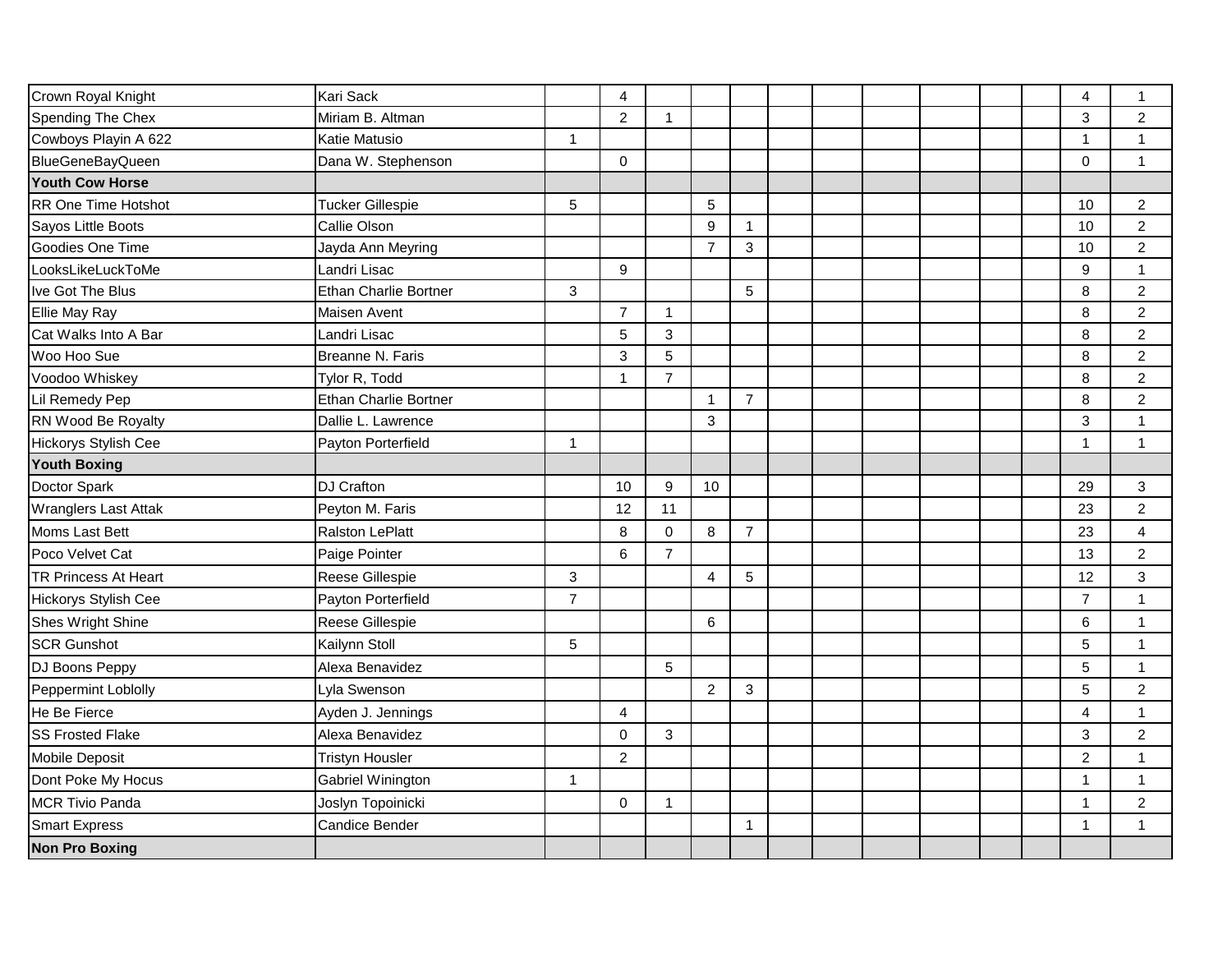| Crown Royal Knight          | <b>Kari Sack</b>             |                 | $\overline{4}$ |                |                  |                |  |  |  | $\overline{\mathbf{4}}$ | $\mathbf{1}$   |
|-----------------------------|------------------------------|-----------------|----------------|----------------|------------------|----------------|--|--|--|-------------------------|----------------|
| Spending The Chex           | Miriam B. Altman             |                 | $\overline{2}$ | 1              |                  |                |  |  |  | $\mathfrak{Z}$          | $\overline{c}$ |
| Cowboys Playin A 622        | Katie Matusio                | $\mathbf{1}$    |                |                |                  |                |  |  |  | $\mathbf{1}$            | 1              |
| <b>BlueGeneBayQueen</b>     | Dana W. Stephenson           |                 | $\mathbf 0$    |                |                  |                |  |  |  | $\pmb{0}$               | $\mathbf{1}$   |
| Youth Cow Horse             |                              |                 |                |                |                  |                |  |  |  |                         |                |
| RR One Time Hotshot         | <b>Tucker Gillespie</b>      | $\sqrt{5}$      |                |                | 5                |                |  |  |  | 10                      | $\overline{2}$ |
| Sayos Little Boots          | Callie Olson                 |                 |                |                | $\boldsymbol{9}$ | $\mathbf{1}$   |  |  |  | 10                      | $\overline{2}$ |
| Goodies One Time            | Jayda Ann Meyring            |                 |                |                | $\overline{7}$   | 3              |  |  |  | 10                      | $\overline{c}$ |
| LooksLikeLuckToMe           | Landri Lisac                 |                 | 9              |                |                  |                |  |  |  | $\boldsymbol{9}$        | 1              |
| Ive Got The Blus            | <b>Ethan Charlie Bortner</b> | 3               |                |                |                  | 5              |  |  |  | 8                       | $\overline{2}$ |
| Ellie May Ray               | Maisen Avent                 |                 | $\overline{7}$ | $\mathbf{1}$   |                  |                |  |  |  | $\,8\,$                 | $\overline{2}$ |
| Cat Walks Into A Bar        | Landri Lisac                 |                 | 5              | 3              |                  |                |  |  |  | 8                       | $\overline{2}$ |
| Woo Hoo Sue                 | Breanne N. Faris             |                 | 3              | 5              |                  |                |  |  |  | $\bf 8$                 | $\overline{2}$ |
| Voodoo Whiskey              | Tylor R, Todd                |                 | -1             | $\overline{7}$ |                  |                |  |  |  | $\bf 8$                 | $\overline{2}$ |
| Lil Remedy Pep              | Ethan Charlie Bortner        |                 |                |                | $\mathbf{1}$     | $\overline{7}$ |  |  |  | $\bf 8$                 | $\overline{c}$ |
| RN Wood Be Royalty          | Dallie L. Lawrence           |                 |                |                | 3                |                |  |  |  | $\sqrt{3}$              | 1              |
| <b>Hickorys Stylish Cee</b> | Payton Porterfield           | $\mathbf{1}$    |                |                |                  |                |  |  |  | $\mathbf{1}$            | 1              |
| <b>Youth Boxing</b>         |                              |                 |                |                |                  |                |  |  |  |                         |                |
| Doctor Spark                | <b>DJ Crafton</b>            |                 | 10             | 9              | 10               |                |  |  |  | 29                      | 3              |
| <b>Wranglers Last Attak</b> | Peyton M. Faris              |                 | 12             | 11             |                  |                |  |  |  | 23                      | $\overline{2}$ |
| Moms Last Bett              | <b>Ralston LePlatt</b>       |                 | 8              | $\Omega$       | 8                | $\overline{7}$ |  |  |  | 23                      | 4              |
| Poco Velvet Cat             | Paige Pointer                |                 | $6\phantom{a}$ | $\overline{7}$ |                  |                |  |  |  | 13                      | $\overline{c}$ |
| <b>TR Princess At Heart</b> | Reese Gillespie              | $\mathbf{3}$    |                |                | 4                | $\sqrt{5}$     |  |  |  | 12                      | 3              |
| <b>Hickorys Stylish Cee</b> | Payton Porterfield           | $\overline{7}$  |                |                |                  |                |  |  |  | $\overline{7}$          | $\mathbf{1}$   |
| Shes Wright Shine           | Reese Gillespie              |                 |                |                | 6                |                |  |  |  | $\,6\,$                 | 1              |
| <b>SCR Gunshot</b>          | Kailynn Stoll                | $5\phantom{.0}$ |                |                |                  |                |  |  |  | $\overline{5}$          | $\mathbf{1}$   |
| DJ Boons Peppy              | Alexa Benavidez              |                 |                | 5              |                  |                |  |  |  | $\overline{5}$          | $\mathbf{1}$   |
| Peppermint Loblolly         | Lyla Swenson                 |                 |                |                | $\overline{2}$   | 3              |  |  |  | 5                       | $\overline{2}$ |
| He Be Fierce                | Ayden J. Jennings            |                 | $\overline{4}$ |                |                  |                |  |  |  | $\overline{4}$          | $\mathbf{1}$   |
| <b>SS Frosted Flake</b>     | Alexa Benavidez              |                 | $\mathbf 0$    | $\mathbf{3}$   |                  |                |  |  |  | $\sqrt{3}$              | $\overline{c}$ |
| Mobile Deposit              | <b>Tristyn Housler</b>       |                 | $\overline{2}$ |                |                  |                |  |  |  | $\overline{c}$          | 1              |
| Dont Poke My Hocus          | Gabriel Winington            | $\mathbf{1}$    |                |                |                  |                |  |  |  | $\mathbf{1}$            | $\mathbf{1}$   |
| MCR Tivio Panda             | Joslyn Topoinicki            |                 | $\Omega$       | $\mathbf 1$    |                  |                |  |  |  | $\mathbf{1}$            | $\overline{c}$ |
|                             |                              |                 |                |                |                  |                |  |  |  |                         |                |
| <b>Smart Express</b>        | Candice Bender               |                 |                |                |                  | $\mathbf{1}$   |  |  |  | 1                       | 1              |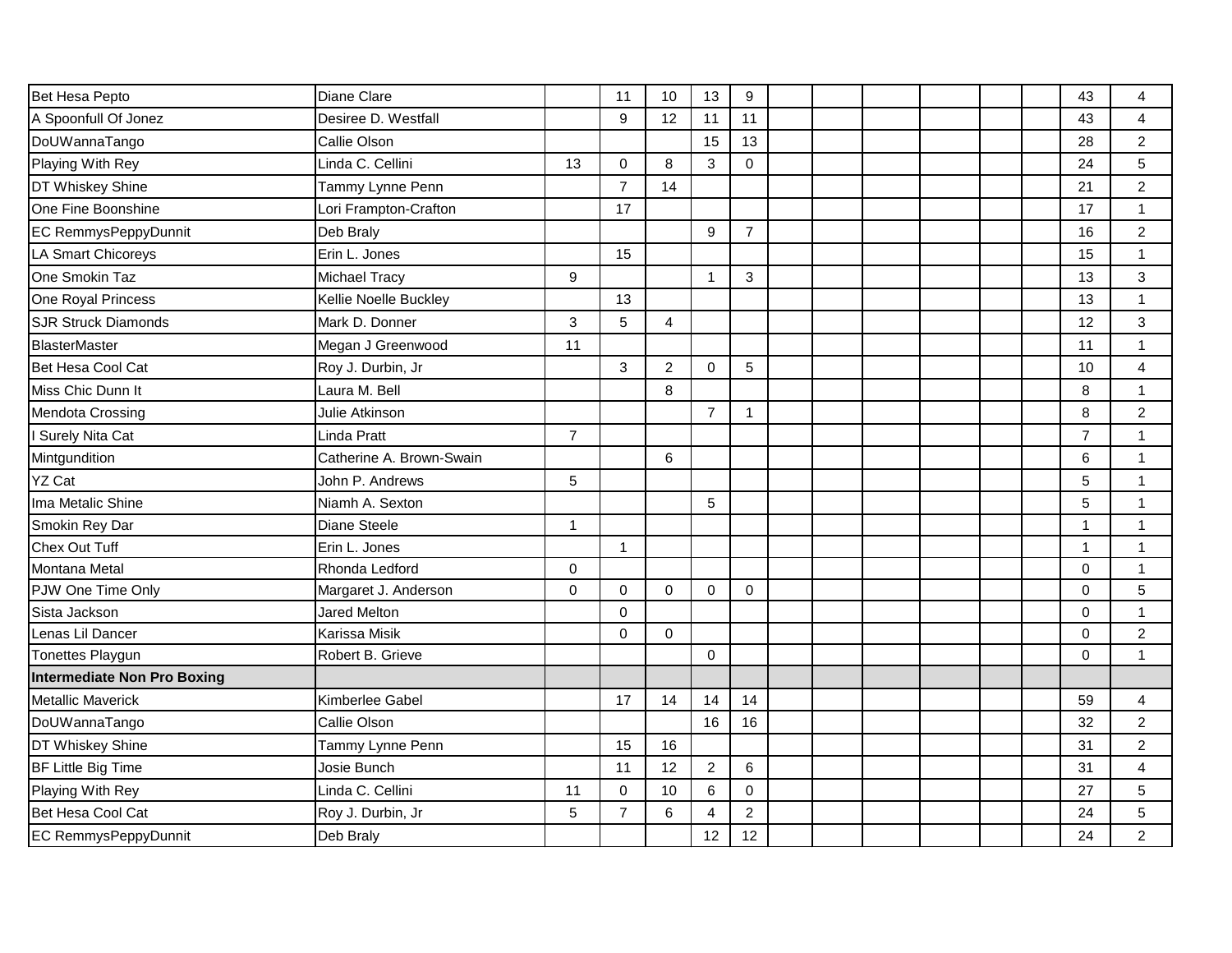| Bet Hesa Pepto                     | Diane Clare              |                  | 11             | 10             | 13             | $9\,$          |  |  |  | 43             | 4                |
|------------------------------------|--------------------------|------------------|----------------|----------------|----------------|----------------|--|--|--|----------------|------------------|
| A Spoonfull Of Jonez               | Desiree D. Westfall      |                  | 9              | 12             | 11             | 11             |  |  |  | 43             | 4                |
| DoUWannaTango                      | Callie Olson             |                  |                |                | 15             | 13             |  |  |  | 28             | $\overline{c}$   |
| Playing With Rey                   | Linda C. Cellini         | 13               | $\mathbf 0$    | 8              | 3              | 0              |  |  |  | 24             | 5                |
| DT Whiskey Shine                   | Tammy Lynne Penn         |                  | $\overline{7}$ | 14             |                |                |  |  |  | 21             | $\boldsymbol{2}$ |
| One Fine Boonshine                 | Lori Frampton-Crafton    |                  | 17             |                |                |                |  |  |  | 17             | $\mathbf{1}$     |
| <b>EC RemmysPeppyDunnit</b>        | Deb Braly                |                  |                |                | 9              | $\overline{7}$ |  |  |  | 16             | $\overline{c}$   |
| <b>LA Smart Chicoreys</b>          | Erin L. Jones            |                  | 15             |                |                |                |  |  |  | 15             | $\mathbf{1}$     |
| One Smokin Taz                     | Michael Tracy            | $\boldsymbol{9}$ |                |                | $\mathbf 1$    | 3              |  |  |  | 13             | 3                |
| One Royal Princess                 | Kellie Noelle Buckley    |                  | 13             |                |                |                |  |  |  | 13             | $\mathbf{1}$     |
| <b>SJR Struck Diamonds</b>         | Mark D. Donner           | 3                | 5              | 4              |                |                |  |  |  | 12             | 3                |
| <b>BlasterMaster</b>               | Megan J Greenwood        | 11               |                |                |                |                |  |  |  | 11             | $\mathbf{1}$     |
| Bet Hesa Cool Cat                  | Roy J. Durbin, Jr        |                  | 3              | $\overline{c}$ | $\mathbf 0$    | 5              |  |  |  | 10             | 4                |
| Miss Chic Dunn It                  | Laura M. Bell            |                  |                | 8              |                |                |  |  |  | 8              | $\mathbf{1}$     |
| Mendota Crossing                   | Julie Atkinson           |                  |                |                | $\overline{7}$ | $\mathbf{1}$   |  |  |  | 8              | $\overline{c}$   |
| I Surely Nita Cat                  | Linda Pratt              | $\overline{7}$   |                |                |                |                |  |  |  | $\overline{7}$ | 1                |
| Mintgundition                      | Catherine A. Brown-Swain |                  |                | 6              |                |                |  |  |  | 6              | $\mathbf{1}$     |
| <b>YZ Cat</b>                      | John P. Andrews          | 5                |                |                |                |                |  |  |  | 5              | $\mathbf{1}$     |
| Ima Metalic Shine                  | Niamh A. Sexton          |                  |                |                | 5              |                |  |  |  | 5              | 1                |
| Smokin Rey Dar                     | Diane Steele             | 1                |                |                |                |                |  |  |  | $\overline{1}$ | $\mathbf{1}$     |
| Chex Out Tuff                      | Erin L. Jones            |                  | $\mathbf{1}$   |                |                |                |  |  |  | $\mathbf 1$    | 1                |
| <b>Montana Metal</b>               | Rhonda Ledford           | $\mathbf 0$      |                |                |                |                |  |  |  | $\Omega$       | $\mathbf{1}$     |
| PJW One Time Only                  | Margaret J. Anderson     | $\mathbf 0$      | $\mathbf 0$    | $\mathbf 0$    | $\mathbf 0$    | 0              |  |  |  | $\mathbf 0$    | 5                |
| Sista Jackson                      | <b>Jared Melton</b>      |                  | $\Omega$       |                |                |                |  |  |  | $\Omega$       | $\mathbf{1}$     |
| Lenas Lil Dancer                   | Karissa Misik            |                  | $\mathbf 0$    | $\mathbf 0$    |                |                |  |  |  | $\Omega$       | $\overline{c}$   |
| <b>Tonettes Playgun</b>            | Robert B. Grieve         |                  |                |                | $\mathbf 0$    |                |  |  |  | $\Omega$       | 1                |
| <b>Intermediate Non Pro Boxing</b> |                          |                  |                |                |                |                |  |  |  |                |                  |
| Metallic Maverick                  | Kimberlee Gabel          |                  | 17             | 14             | 14             | 14             |  |  |  | 59             | $\overline{4}$   |
| DoUWannaTango                      | Callie Olson             |                  |                |                | 16             | 16             |  |  |  | 32             | $\overline{c}$   |
| DT Whiskey Shine                   | Tammy Lynne Penn         |                  | 15             | 16             |                |                |  |  |  | 31             | $\overline{c}$   |
| <b>BF Little Big Time</b>          | Josie Bunch              |                  | 11             | 12             | $\overline{2}$ | 6              |  |  |  | 31             | 4                |
| Playing With Rey                   | Linda C. Cellini         | 11               | $\Omega$       | 10             | 6              | $\Omega$       |  |  |  | 27             | 5                |
| Bet Hesa Cool Cat                  | Roy J. Durbin, Jr        | 5                | $\overline{7}$ | 6              | 4              | $\overline{c}$ |  |  |  | 24             | 5                |
| <b>EC RemmysPeppyDunnit</b>        | Deb Braly                |                  |                |                | 12             | 12             |  |  |  | 24             | $\overline{2}$   |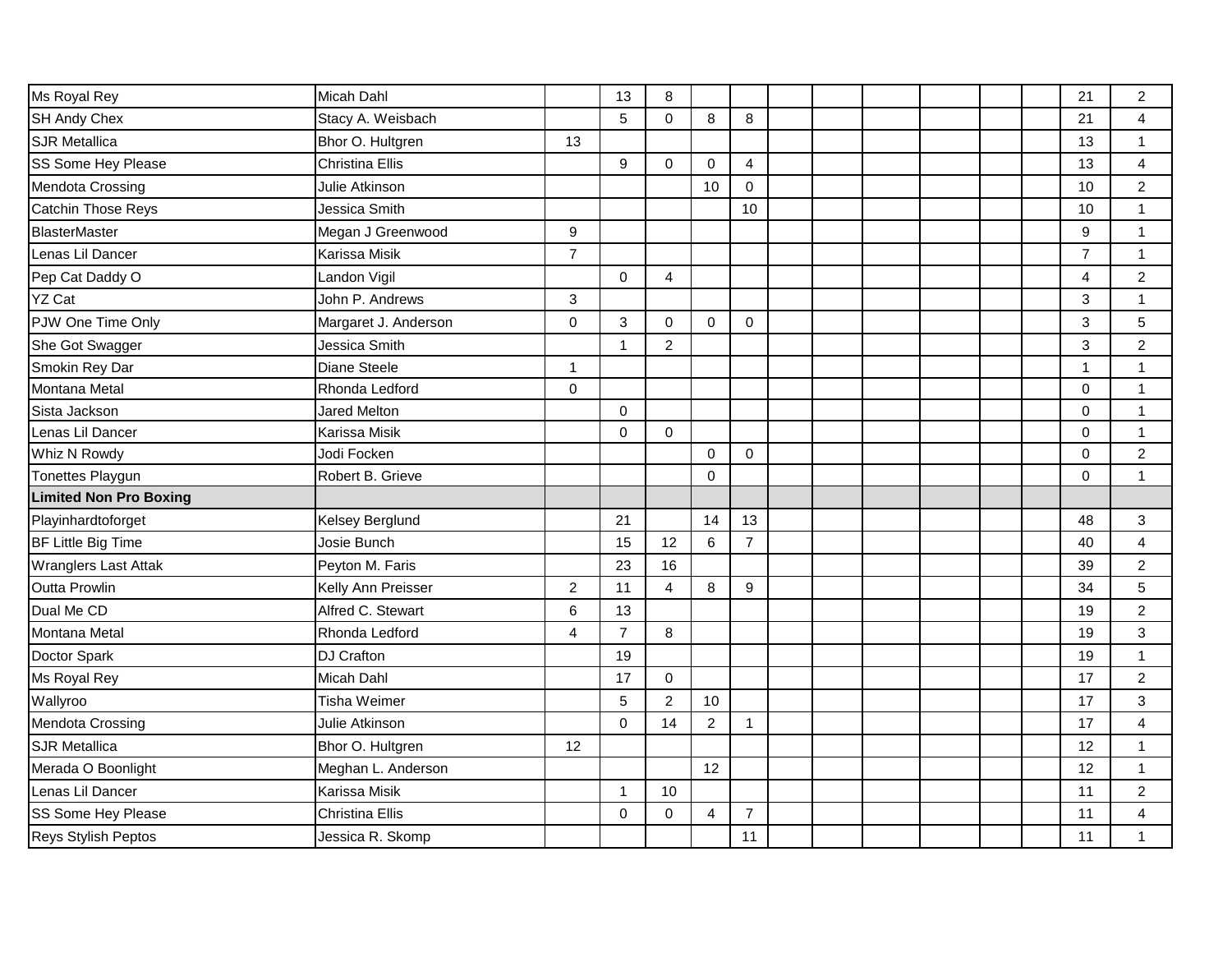| Ms Royal Rey                  | Micah Dahl             |                | 13             | 8              |                |                |  |  |  | 21             | $\boldsymbol{2}$ |
|-------------------------------|------------------------|----------------|----------------|----------------|----------------|----------------|--|--|--|----------------|------------------|
| SH Andy Chex                  | Stacy A. Weisbach      |                | 5              | 0              | 8              | 8              |  |  |  | 21             | 4                |
| <b>SJR Metallica</b>          | Bhor O. Hultgren       | 13             |                |                |                |                |  |  |  | 13             | 1                |
| SS Some Hey Please            | Christina Ellis        |                | 9              | $\Omega$       | $\mathbf 0$    | $\overline{4}$ |  |  |  | 13             | 4                |
| Mendota Crossing              | Julie Atkinson         |                |                |                | 10             | $\mathbf 0$    |  |  |  | 10             | $\boldsymbol{2}$ |
| Catchin Those Reys            | Jessica Smith          |                |                |                |                | 10             |  |  |  | 10             | $\mathbf{1}$     |
| BlasterMaster                 | Megan J Greenwood      | 9              |                |                |                |                |  |  |  | 9              | $\mathbf{1}$     |
| Lenas Lil Dancer              | Karissa Misik          | $\overline{7}$ |                |                |                |                |  |  |  | $\overline{7}$ | 1                |
| Pep Cat Daddy O               | Landon Vigil           |                | $\mathbf 0$    | 4              |                |                |  |  |  | 4              | $\overline{c}$   |
| <b>YZ Cat</b>                 | John P. Andrews        | 3              |                |                |                |                |  |  |  | 3              | $\mathbf{1}$     |
| PJW One Time Only             | Margaret J. Anderson   | $\overline{0}$ | 3              | $\mathbf 0$    | $\Omega$       | $\mathbf 0$    |  |  |  | 3              | 5                |
| She Got Swagger               | Jessica Smith          |                | $\mathbf{1}$   | $\overline{c}$ |                |                |  |  |  | $\mathfrak{S}$ | $\boldsymbol{2}$ |
| Smokin Rey Dar                | Diane Steele           | $\mathbf{1}$   |                |                |                |                |  |  |  | $\mathbf{1}$   | $\mathbf{1}$     |
| Montana Metal                 | Rhonda Ledford         | $\mathbf 0$    |                |                |                |                |  |  |  | $\Omega$       | $\mathbf{1}$     |
| Sista Jackson                 | <b>Jared Melton</b>    |                | $\mathbf 0$    |                |                |                |  |  |  | $\Omega$       | 1                |
| Lenas Lil Dancer              | <b>Karissa Misik</b>   |                | $\Omega$       | $\Omega$       |                |                |  |  |  | $\Omega$       | 1                |
| Whiz N Rowdy                  | Jodi Focken            |                |                |                | $\Omega$       | $\Omega$       |  |  |  | $\Omega$       | $\boldsymbol{2}$ |
| Tonettes Playgun              | Robert B. Grieve       |                |                |                | $\mathbf 0$    |                |  |  |  | $\mathbf 0$    | $\mathbf{1}$     |
| <b>Limited Non Pro Boxing</b> |                        |                |                |                |                |                |  |  |  |                |                  |
| Playinhardtoforget            | <b>Kelsey Berglund</b> |                | 21             |                | 14             | 13             |  |  |  | 48             | 3                |
| BF Little Big Time            | Josie Bunch            |                | 15             | 12             | 6              | $\overline{7}$ |  |  |  | 40             | $\overline{4}$   |
| <b>Wranglers Last Attak</b>   | Peyton M. Faris        |                | 23             | 16             |                |                |  |  |  | 39             | $\boldsymbol{2}$ |
| Outta Prowlin                 | Kelly Ann Preisser     | $\overline{2}$ | 11             | $\overline{4}$ | 8              | 9              |  |  |  | 34             | 5                |
| Dual Me CD                    | Alfred C. Stewart      | 6              | 13             |                |                |                |  |  |  | 19             | $\overline{2}$   |
| Montana Metal                 | Rhonda Ledford         | 4              | $\overline{7}$ | 8              |                |                |  |  |  | 19             | 3                |
| Doctor Spark                  | <b>DJ Crafton</b>      |                | 19             |                |                |                |  |  |  | 19             | $\mathbf{1}$     |
| Ms Royal Rey                  | <b>Micah Dahl</b>      |                | 17             | 0              |                |                |  |  |  | 17             | $\overline{2}$   |
| Wallyroo                      | Tisha Weimer           |                | 5              | $\overline{c}$ | 10             |                |  |  |  | 17             | 3                |
| Mendota Crossing              | Julie Atkinson         |                | $\mathbf 0$    | 14             | $\overline{2}$ | $\mathbf{1}$   |  |  |  | 17             | 4                |
| <b>SJR Metallica</b>          | Bhor O. Hultgren       | 12             |                |                |                |                |  |  |  | 12             | $\mathbf{1}$     |
| Merada O Boonlight            | Meghan L. Anderson     |                |                |                | 12             |                |  |  |  | 12             | 1                |
| Lenas Lil Dancer              | <b>Karissa Misik</b>   |                | $\mathbf{1}$   | 10             |                |                |  |  |  | 11             | $\overline{2}$   |
| SS Some Hey Please            | <b>Christina Ellis</b> |                | $\mathbf 0$    | 0              | $\overline{4}$ | $\overline{7}$ |  |  |  | 11             | 4                |
| Reys Stylish Peptos           | Jessica R. Skomp       |                |                |                |                | 11             |  |  |  | 11             | 1                |